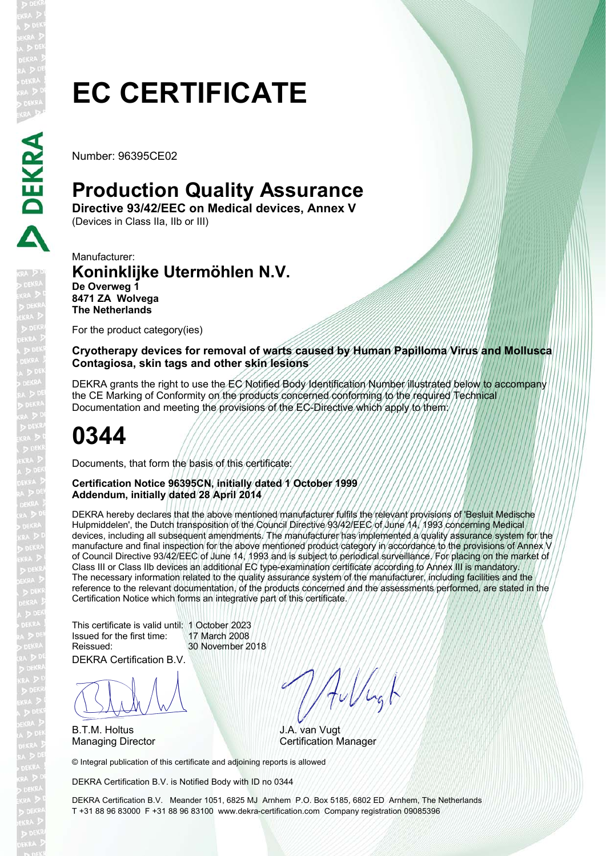# **EC CERTIFICATE**

Number: 96395CE02

## **Production Quality Assurance**

**Directive 93/42/EEC on Medical devices, Annex V**  (Devices in Class IIa, IIb or III)

Manufacturer: **Koninklijke Utermöhlen N.V. De Overweg 1 8471 ZA Wolvega The Netherlands**

For the product category(ies)

**Cryotherapy devices for removal of warts caused by Human Papilloma Virus and Mollusca Contagiosa, skin tags and other skin lesions**

DEKRA grants the right to use the EC Notified Body Identification Number illustrated below to accompany the CE Marking of Conformity on the products concerned conforming to the required Technical Documentation and meeting the provisions of the EC-Directive which apply to them:

## **0344**

Documents, that form the basis of this certificate:

#### **Certification Notice 96395CN, initially dated 1 October 1999 Addendum, initially dated 28 April 2014**

DEKRA hereby declares that the above mentioned manufacturer fulfils the relevant provisions of 'Besluit Medische Hulpmiddelen', the Dutch transposition of the Council Directive 93/42/EEC of June 14, 1993 concerning Medical devices, including all subsequent amendments. The manufacturer has implemented a quality assurance system for the manufacture and final inspection for the above mentioned product category in accordance to the provisions of Annex V of Council Directive 93/42/EEC of June 14, 1993 and is subject to periodical surveillance. For placing on the market of Class III or Class IIb devices an additional EC type-examination certificate according to Annex III is mandatory. The necessary information related to the quality assurance system of the manufacturer, including facilities and the reference to the relevant documentation, of the products concerned and the assessments performed, are stated in the Certification Notice which forms an integrative part of this certificate.

This certificate is valid until: 1 October 2023 Issued for the first time: 17 March 2008 30 November 2018

DEKRA Certification B.V.

BLAN

B.T.M. Holtus

Allugh

J.A. van Vugt Managing Director **Certification Manager** 

© Integral publication of this certificate and adjoining reports is allowed

DEKRA Certification B.V. is Notified Body with ID no 0344

DEKRA Certification B.V. Meander 1051, 6825 MJ Arnhem P.O. Box 5185, 6802 ED Arnhem, The Netherlands T +31 88 96 83000 F +31 88 96 83100 www.dekra-certification.com Company registration 09085396